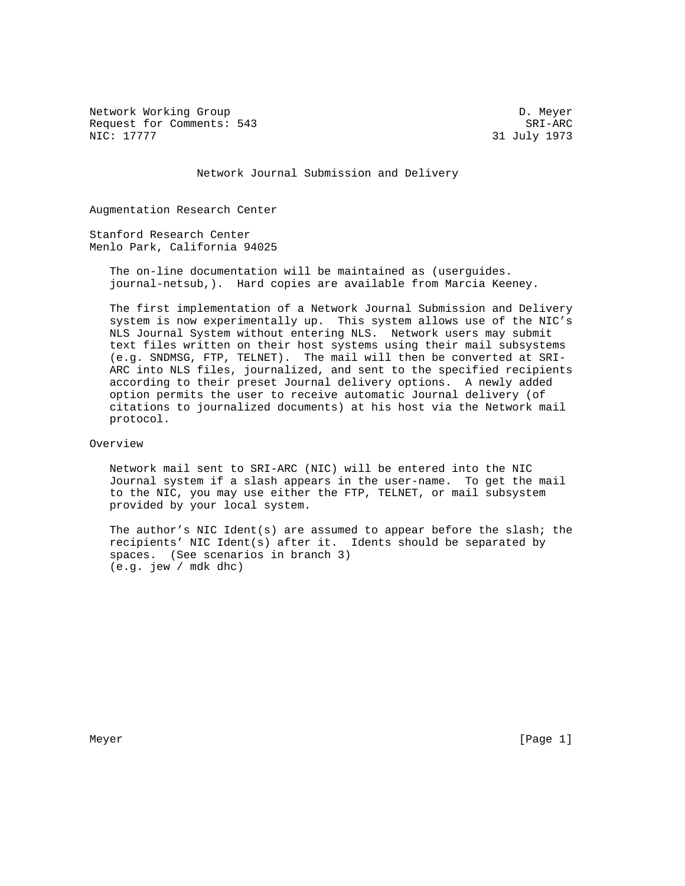Network Working Group Development of the United States of D. Meyer Request for Comments: 543 SRI-ARC<br>NIC: 17777 31 July 1973

31 July 1973

Network Journal Submission and Delivery

Augmentation Research Center

Stanford Research Center Menlo Park, California 94025

> The on-line documentation will be maintained as (userguides. journal-netsub,). Hard copies are available from Marcia Keeney.

 The first implementation of a Network Journal Submission and Delivery system is now experimentally up. This system allows use of the NIC's NLS Journal System without entering NLS. Network users may submit text files written on their host systems using their mail subsystems (e.g. SNDMSG, FTP, TELNET). The mail will then be converted at SRI- ARC into NLS files, journalized, and sent to the specified recipients according to their preset Journal delivery options. A newly added option permits the user to receive automatic Journal delivery (of citations to journalized documents) at his host via the Network mail protocol.

Overview

 Network mail sent to SRI-ARC (NIC) will be entered into the NIC Journal system if a slash appears in the user-name. To get the mail to the NIC, you may use either the FTP, TELNET, or mail subsystem provided by your local system.

 The author's NIC Ident(s) are assumed to appear before the slash; the recipients' NIC Ident(s) after it. Idents should be separated by spaces. (See scenarios in branch 3) (e.g. jew / mdk dhc)

Meyer [Page 1] New York 1992 and the set of the set of the set of the set of the set of the set of the set of the set of the set of the set of the set of the set of the set of the set of the set of the set of the set of th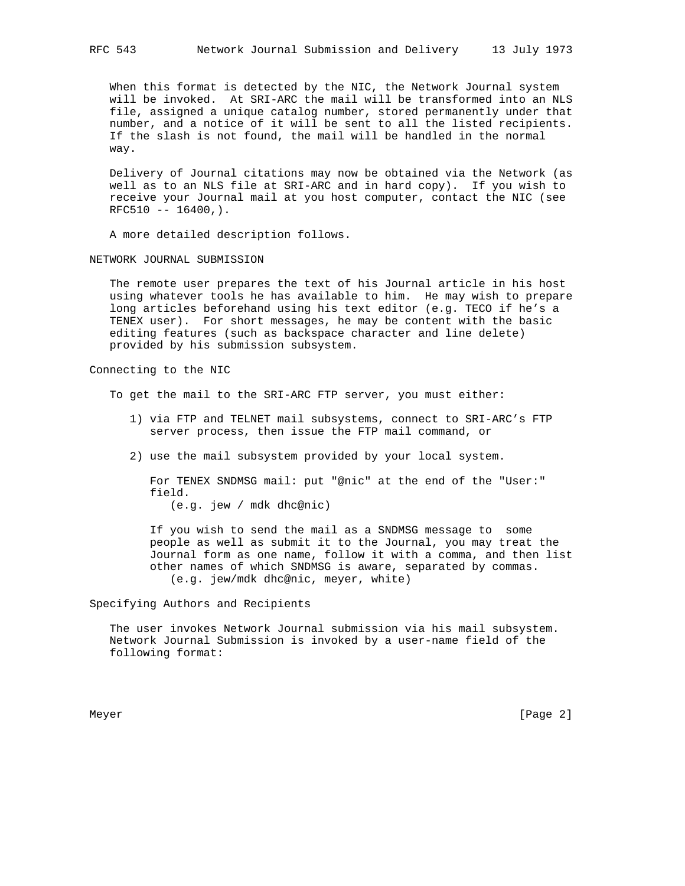When this format is detected by the NIC, the Network Journal system will be invoked. At SRI-ARC the mail will be transformed into an NLS file, assigned a unique catalog number, stored permanently under that number, and a notice of it will be sent to all the listed recipients. If the slash is not found, the mail will be handled in the normal way.

 Delivery of Journal citations may now be obtained via the Network (as well as to an NLS file at SRI-ARC and in hard copy). If you wish to receive your Journal mail at you host computer, contact the NIC (see  $RFC510 -- 16400,$ .

A more detailed description follows.

NETWORK JOURNAL SUBMISSION

 The remote user prepares the text of his Journal article in his host using whatever tools he has available to him. He may wish to prepare long articles beforehand using his text editor (e.g. TECO if he's a TENEX user). For short messages, he may be content with the basic editing features (such as backspace character and line delete) provided by his submission subsystem.

Connecting to the NIC

To get the mail to the SRI-ARC FTP server, you must either:

- 1) via FTP and TELNET mail subsystems, connect to SRI-ARC's FTP server process, then issue the FTP mail command, or
- 2) use the mail subsystem provided by your local system.

 For TENEX SNDMSG mail: put "@nic" at the end of the "User:" field.

(e.g. jew / mdk dhc@nic)

 If you wish to send the mail as a SNDMSG message to some people as well as submit it to the Journal, you may treat the Journal form as one name, follow it with a comma, and then list other names of which SNDMSG is aware, separated by commas. (e.g. jew/mdk dhc@nic, meyer, white)

Specifying Authors and Recipients

 The user invokes Network Journal submission via his mail subsystem. Network Journal Submission is invoked by a user-name field of the following format:

Meyer [Page 2] New York 2014 19:00 19:00 19:00 19:00 19:00 19:00 19:00 19:00 19:00 19:00 19:00 19:00 19:00 19:0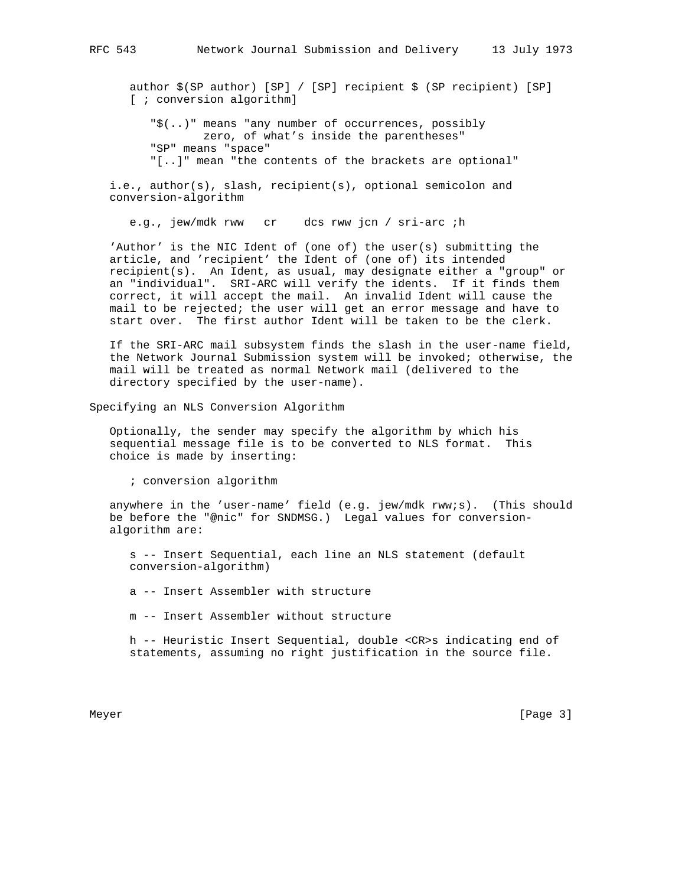author \$(SP author) [SP] / [SP] recipient \$ (SP recipient) [SP] [ ; conversion algorithm]

 "\$(..)" means "any number of occurrences, possibly zero, of what's inside the parentheses" "SP" means "space" "[..]" mean "the contents of the brackets are optional"

 i.e., author(s), slash, recipient(s), optional semicolon and conversion-algorithm

e.g., jew/mdk rww cr dcs rww jcn / sri-arc ;h

 'Author' is the NIC Ident of (one of) the user(s) submitting the article, and 'recipient' the Ident of (one of) its intended recipient(s). An Ident, as usual, may designate either a "group" or an "individual". SRI-ARC will verify the idents. If it finds them correct, it will accept the mail. An invalid Ident will cause the mail to be rejected; the user will get an error message and have to start over. The first author Ident will be taken to be the clerk.

 If the SRI-ARC mail subsystem finds the slash in the user-name field, the Network Journal Submission system will be invoked; otherwise, the mail will be treated as normal Network mail (delivered to the directory specified by the user-name).

Specifying an NLS Conversion Algorithm

 Optionally, the sender may specify the algorithm by which his sequential message file is to be converted to NLS format. This choice is made by inserting:

; conversion algorithm

 anywhere in the 'user-name' field (e.g. jew/mdk rww;s). (This should be before the "@nic" for SNDMSG.) Legal values for conversion algorithm are:

 s -- Insert Sequential, each line an NLS statement (default conversion-algorithm)

a -- Insert Assembler with structure

m -- Insert Assembler without structure

 h -- Heuristic Insert Sequential, double <CR>s indicating end of statements, assuming no right justification in the source file.

Meyer [Page 3] New York 1992 State 1, 1992 State 1, 1992 State 1, 1992 State 1, 1992 State 1, 1992 State 1, 19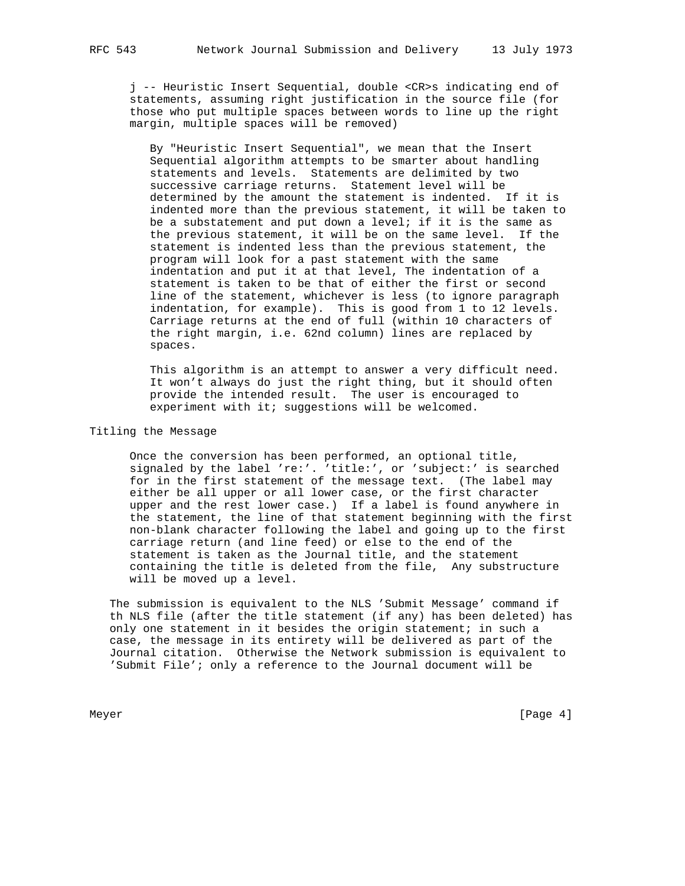j -- Heuristic Insert Sequential, double <CR>s indicating end of statements, assuming right justification in the source file (for those who put multiple spaces between words to line up the right margin, multiple spaces will be removed)

 By "Heuristic Insert Sequential", we mean that the Insert Sequential algorithm attempts to be smarter about handling statements and levels. Statements are delimited by two successive carriage returns. Statement level will be determined by the amount the statement is indented. If it is indented more than the previous statement, it will be taken to be a substatement and put down a level; if it is the same as the previous statement, it will be on the same level. If the statement is indented less than the previous statement, the program will look for a past statement with the same indentation and put it at that level, The indentation of a statement is taken to be that of either the first or second line of the statement, whichever is less (to ignore paragraph indentation, for example). This is good from 1 to 12 levels. Carriage returns at the end of full (within 10 characters of the right margin, i.e. 62nd column) lines are replaced by spaces.

 This algorithm is an attempt to answer a very difficult need. It won't always do just the right thing, but it should often provide the intended result. The user is encouraged to experiment with it; suggestions will be welcomed.

## Titling the Message

 Once the conversion has been performed, an optional title, signaled by the label 're:'. 'title:', or 'subject:' is searched for in the first statement of the message text. (The label may either be all upper or all lower case, or the first character upper and the rest lower case.) If a label is found anywhere in the statement, the line of that statement beginning with the first non-blank character following the label and going up to the first carriage return (and line feed) or else to the end of the statement is taken as the Journal title, and the statement containing the title is deleted from the file, Any substructure will be moved up a level.

 The submission is equivalent to the NLS 'Submit Message' command if th NLS file (after the title statement (if any) has been deleted) has only one statement in it besides the origin statement; in such a case, the message in its entirety will be delivered as part of the Journal citation. Otherwise the Network submission is equivalent to 'Submit File'; only a reference to the Journal document will be

Meyer [Page 4] [Page 4] [Page 4] [Page 4] [Page 4] [Page 4] [Page 4] [Page 4] [Page 4] [Page 4] [Page 4] [Page 4] [Page 4] [Page 4] [Page 4] [Page 4] [Page 4] [Page 4] [Page 4] [Page 4] [Page 4] [Page 4] [Page 4] [Page 4]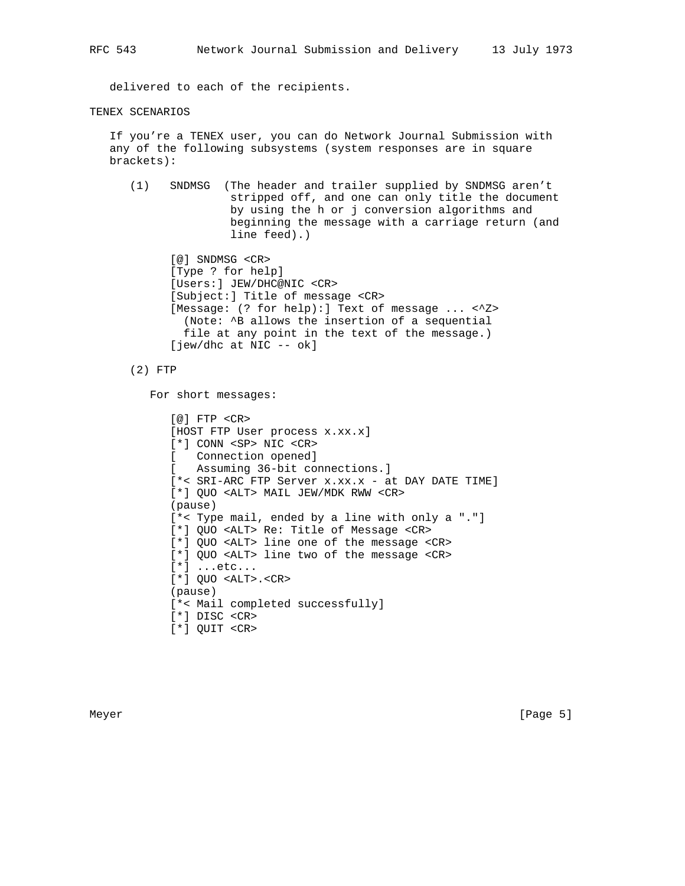delivered to each of the recipients.

## TENEX SCENARIOS

 If you're a TENEX user, you can do Network Journal Submission with any of the following subsystems (system responses are in square brackets):

 (1) SNDMSG (The header and trailer supplied by SNDMSG aren't stripped off, and one can only title the document by using the h or j conversion algorithms and beginning the message with a carriage return (and line feed).)

 [@] SNDMSG <CR> [Type ? for help] [Users:] JEW/DHC@NIC <CR> [Subject:] Title of message <CR> [Message: (? for help):] Text of message ... <^Z> (Note: ^B allows the insertion of a sequential file at any point in the text of the message.) [jew/dhc at NIC -- ok]

(2) FTP

For short messages:

```
 [@] FTP <CR>
 [HOST FTP User process x.xx.x]
[*] CONN <SP> NIC <CR><br>
[ Connection opened]
   Connection opened]
 [ Assuming 36-bit connections.]
 [*< SRI-ARC FTP Server x.xx.x - at DAY DATE TIME]
 [*] QUO <ALT> MAIL JEW/MDK RWW <CR>
 (pause)
 [*< Type mail, ended by a line with only a "."]
 [*] QUO <ALT> Re: Title of Message <CR>
 [*] QUO <ALT> line one of the message <CR>
 [*] QUO <ALT> line two of the message <CR>
 [*] ...etc...
 [*] QUO <ALT>.<CR>
 (pause)
 [*< Mail completed successfully]
 [*] DISC <CR>
 [*] QUIT <CR>
```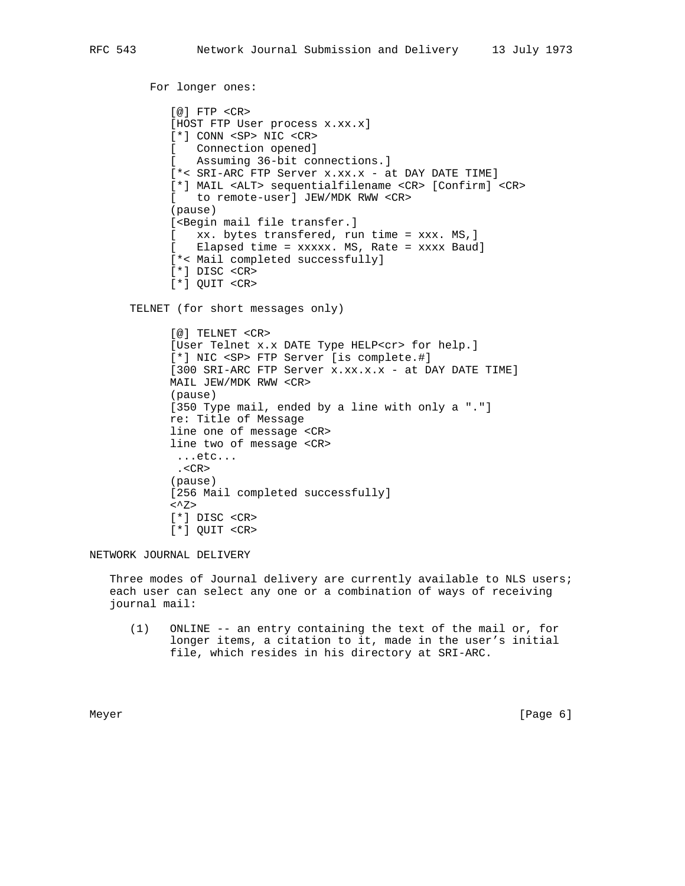```
 For longer ones:
       [@] FTP <CR>
      [HOST FTP User process x.xx.x]
       [*] CONN <SP> NIC <CR>
       [ Connection opened]
       [ Assuming 36-bit connections.]
       [*< SRI-ARC FTP Server x.xx.x - at DAY DATE TIME]
       [*] MAIL <ALT> sequentialfilename <CR> [Confirm] <CR>
       [ to remote-user] JEW/MDK RWW <CR>
       (pause)
      [<Begin mail file transfer.]
       [ xx. bytes transfered, run time = xxx. MS,]
       [ Elapsed time = xxxxx. MS, Rate = xxxx Baud]
       [*< Mail completed successfully]
       [*] DISC <CR>
       [*] QUIT <CR>
 TELNET (for short messages only)
       [@] TELNET <CR>
       [User Telnet x.x DATE Type HELP<cr> for help.]
       [*] NIC <SP> FTP Server [is complete.#]
      [300 SRI-ARC FTP Server x.xx.x.x - at DAY DATE TIME]
       MAIL JEW/MDK RWW <CR>
       (pause)
       [350 Type mail, ended by a line with only a "."]
       re: Title of Message
       line one of message <CR>
       line two of message <CR>
       ...etc...
        .<CR>
       (pause)
       [256 Mail completed successfully]
      < Z>
       [*] DISC <CR>
       [*] QUIT <CR>
```
NETWORK JOURNAL DELIVERY

Three modes of Journal delivery are currently available to NLS users; each user can select any one or a combination of ways of receiving journal mail:

 (1) ONLINE -- an entry containing the text of the mail or, for longer items, a citation to it, made in the user's initial file, which resides in his directory at SRI-ARC.

Meyer [Page 6] New York 1992 (Page 6] New York 1992 (Page 6] New York 1992 (Page 6] New York 1992 (Page 6] New York 1992 (Page 6]  $\sim$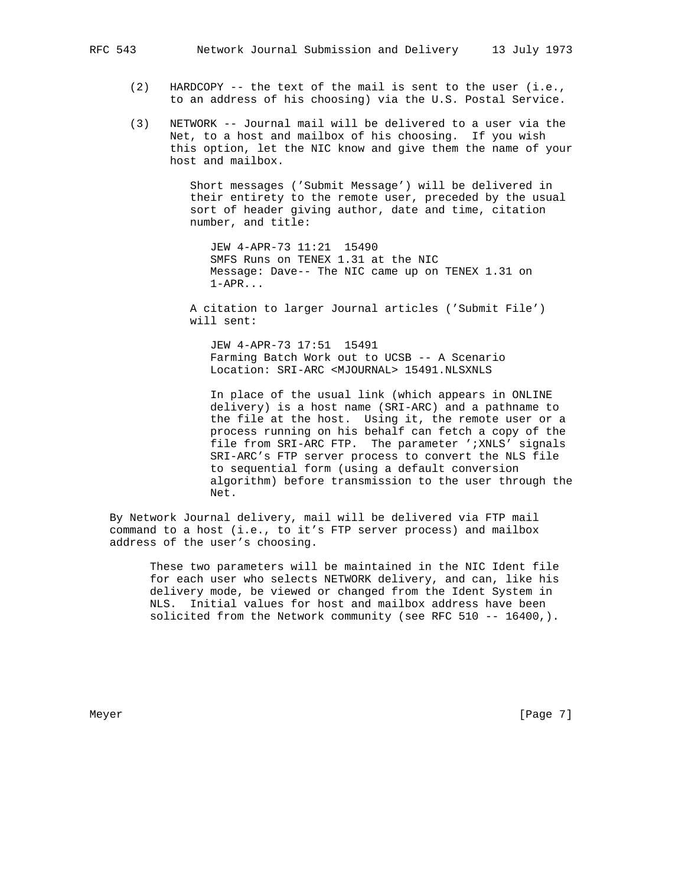- (2) HARDCOPY -- the text of the mail is sent to the user (i.e., to an address of his choosing) via the U.S. Postal Service.
- (3) NETWORK -- Journal mail will be delivered to a user via the Net, to a host and mailbox of his choosing. If you wish this option, let the NIC know and give them the name of your host and mailbox.

 Short messages ('Submit Message') will be delivered in their entirety to the remote user, preceded by the usual sort of header giving author, date and time, citation number, and title:

 JEW 4-APR-73 11:21 15490 SMFS Runs on TENEX 1.31 at the NIC Message: Dave-- The NIC came up on TENEX 1.31 on 1-APR...

 A citation to larger Journal articles ('Submit File') will sent:

 JEW 4-APR-73 17:51 15491 Farming Batch Work out to UCSB -- A Scenario Location: SRI-ARC <MJOURNAL> 15491.NLSXNLS

 In place of the usual link (which appears in ONLINE delivery) is a host name (SRI-ARC) and a pathname to the file at the host. Using it, the remote user or a process running on his behalf can fetch a copy of the file from SRI-ARC FTP. The parameter ';XNLS' signals SRI-ARC's FTP server process to convert the NLS file to sequential form (using a default conversion algorithm) before transmission to the user through the Net.

 By Network Journal delivery, mail will be delivered via FTP mail command to a host (i.e., to it's FTP server process) and mailbox address of the user's choosing.

 These two parameters will be maintained in the NIC Ident file for each user who selects NETWORK delivery, and can, like his delivery mode, be viewed or changed from the Ident System in NLS. Initial values for host and mailbox address have been solicited from the Network community (see RFC 510 -- 16400,).

Meyer [Page 7]